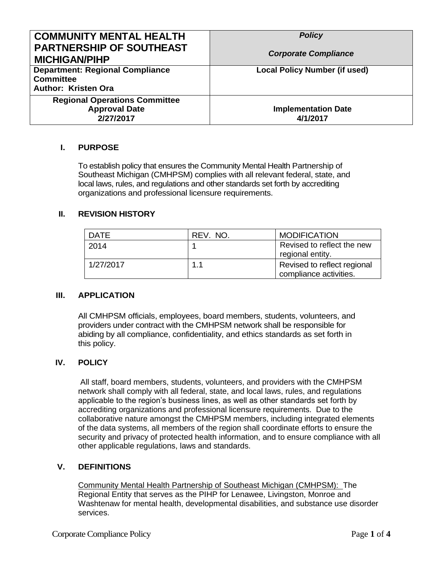| <b>COMMUNITY MENTAL HEALTH</b><br><b>PARTNERSHIP OF SOUTHEAST</b><br><b>MICHIGAN/PIHP</b> | <b>Policy</b><br><b>Corporate Compliance</b> |
|-------------------------------------------------------------------------------------------|----------------------------------------------|
| <b>Department: Regional Compliance</b><br><b>Committee</b><br><b>Author: Kristen Ora</b>  | <b>Local Policy Number (if used)</b>         |
| <b>Regional Operations Committee</b><br><b>Approval Date</b><br>2/27/2017                 | <b>Implementation Date</b><br>4/1/2017       |

# **I. PURPOSE**

To establish policy that ensures the Community Mental Health Partnership of Southeast Michigan (CMHPSM) complies with all relevant federal, state, and local laws, rules, and regulations and other standards set forth by accrediting organizations and professional licensure requirements.

### **II. REVISION HISTORY**

| <b>DATE</b> | REV. NO. | <b>MODIFICATION</b>                                   |
|-------------|----------|-------------------------------------------------------|
| 2014        |          | Revised to reflect the new<br>regional entity.        |
| 1/27/2017   | 1.1      | Revised to reflect regional<br>compliance activities. |

### **III. APPLICATION**

All CMHPSM officials, employees, board members, students, volunteers, and providers under contract with the CMHPSM network shall be responsible for abiding by all compliance, confidentiality, and ethics standards as set forth in this policy.

### **IV. POLICY**

All staff, board members, students, volunteers, and providers with the CMHPSM network shall comply with all federal, state, and local laws, rules, and regulations applicable to the region's business lines, as well as other standards set forth by accrediting organizations and professional licensure requirements. Due to the collaborative nature amongst the CMHPSM members, including integrated elements of the data systems, all members of the region shall coordinate efforts to ensure the security and privacy of protected health information, and to ensure compliance with all other applicable regulations, laws and standards.

### **V. DEFINITIONS**

Community Mental Health Partnership of Southeast Michigan (CMHPSM): The Regional Entity that serves as the PIHP for Lenawee, Livingston, Monroe and Washtenaw for mental health, developmental disabilities, and substance use disorder services.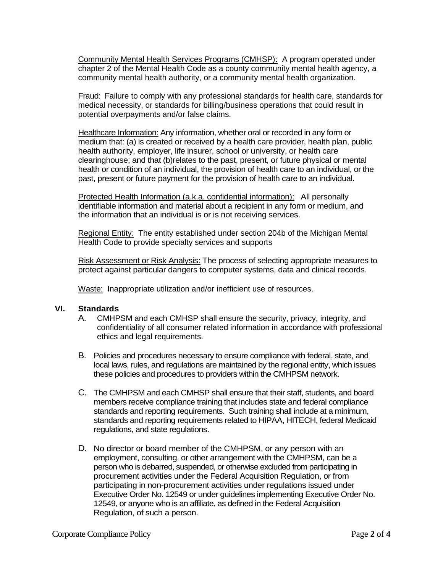Community Mental Health Services Programs (CMHSP): A program operated under chapter 2 of the Mental Health Code as a county community mental health agency, a community mental health authority, or a community mental health organization.

Fraud: Failure to comply with any professional standards for health care, standards for medical necessity, or standards for billing/business operations that could result in potential overpayments and/or false claims.

Healthcare Information: Any information, whether oral or recorded in any form or medium that: (a) is created or received by a health care provider, health plan, public health authority, employer, life insurer, school or university, or health care clearinghouse; and that (b)relates to the past, present, or future physical or mental health or condition of an individual, the provision of health care to an individual, or the past, present or future payment for the provision of health care to an individual.

Protected Health Information (a.k.a. confidential information): All personally identifiable information and material about a recipient in any form or medium, and the information that an individual is or is not receiving services.

Regional Entity: The entity established under section 204b of the Michigan Mental Health Code to provide specialty services and supports

Risk Assessment or Risk Analysis: The process of selecting appropriate measures to protect against particular dangers to computer systems, data and clinical records.

Waste: Inappropriate utilization and/or inefficient use of resources.

### **VI. Standards**

- A. CMHPSM and each CMHSP shall ensure the security, privacy, integrity, and confidentiality of all consumer related information in accordance with professional ethics and legal requirements.
- B. Policies and procedures necessary to ensure compliance with federal, state, and local laws, rules, and regulations are maintained by the regional entity, which issues these policies and procedures to providers within the CMHPSM network.
- C. The CMHPSM and each CMHSP shall ensure that their staff, students, and board members receive compliance training that includes state and federal compliance standards and reporting requirements. Such training shall include at a minimum, standards and reporting requirements related to HIPAA, HITECH, federal Medicaid regulations, and state regulations.
- D. No director or board member of the CMHPSM, or any person with an employment, consulting, or other arrangement with the CMHPSM, can be a person who is debarred, suspended, or otherwise excluded from participating in procurement activities under the Federal Acquisition Regulation, or from participating in non-procurement activities under regulations issued under Executive Order No. 12549 or under guidelines implementing Executive Order No. 12549, or anyone who is an affiliate, as defined in the Federal Acquisition Regulation, of such a person.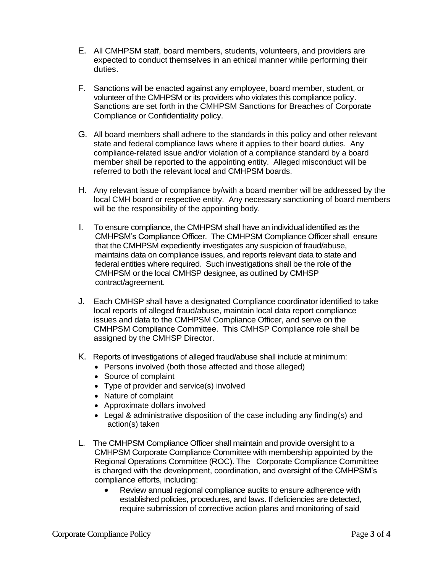- E. All CMHPSM staff, board members, students, volunteers, and providers are expected to conduct themselves in an ethical manner while performing their duties.
- F. Sanctions will be enacted against any employee, board member, student, or volunteer of the CMHPSM or its providers who violates this compliance policy. Sanctions are set forth in the CMHPSM Sanctions for Breaches of Corporate Compliance or Confidentiality policy.
- G. All board members shall adhere to the standards in this policy and other relevant state and federal compliance laws where it applies to their board duties. Any compliance-related issue and/or violation of a compliance standard by a board member shall be reported to the appointing entity. Alleged misconduct will be referred to both the relevant local and CMHPSM boards.
- H. Any relevant issue of compliance by/with a board member will be addressed by the local CMH board or respective entity. Any necessary sanctioning of board members will be the responsibility of the appointing body.
- I. To ensure compliance, the CMHPSM shall have an individual identified as the CMHPSM's Compliance Officer. The CMHPSM Compliance Officer shall ensure that the CMHPSM expediently investigates any suspicion of fraud/abuse, maintains data on compliance issues, and reports relevant data to state and federal entities where required. Such investigations shall be the role of the CMHPSM or the local CMHSP designee, as outlined by CMHSP contract/agreement.
- J. Each CMHSP shall have a designated Compliance coordinator identified to take local reports of alleged fraud/abuse, maintain local data report compliance issues and data to the CMHPSM Compliance Officer, and serve on the CMHPSM Compliance Committee. This CMHSP Compliance role shall be assigned by the CMHSP Director.
- K. Reports of investigations of alleged fraud/abuse shall include at minimum:
	- Persons involved (both those affected and those alleged)
	- Source of complaint
	- Type of provider and service(s) involved
	- Nature of complaint
	- Approximate dollars involved
	- Legal & administrative disposition of the case including any finding(s) and action(s) taken
- L. The CMHPSM Compliance Officer shall maintain and provide oversight to a CMHPSM Corporate Compliance Committee with membership appointed by the Regional Operations Committee (ROC). The Corporate Compliance Committee is charged with the development, coordination, and oversight of the CMHPSM's compliance efforts, including:
	- Review annual regional compliance audits to ensure adherence with established policies, procedures, and laws. If deficiencies are detected, require submission of corrective action plans and monitoring of said